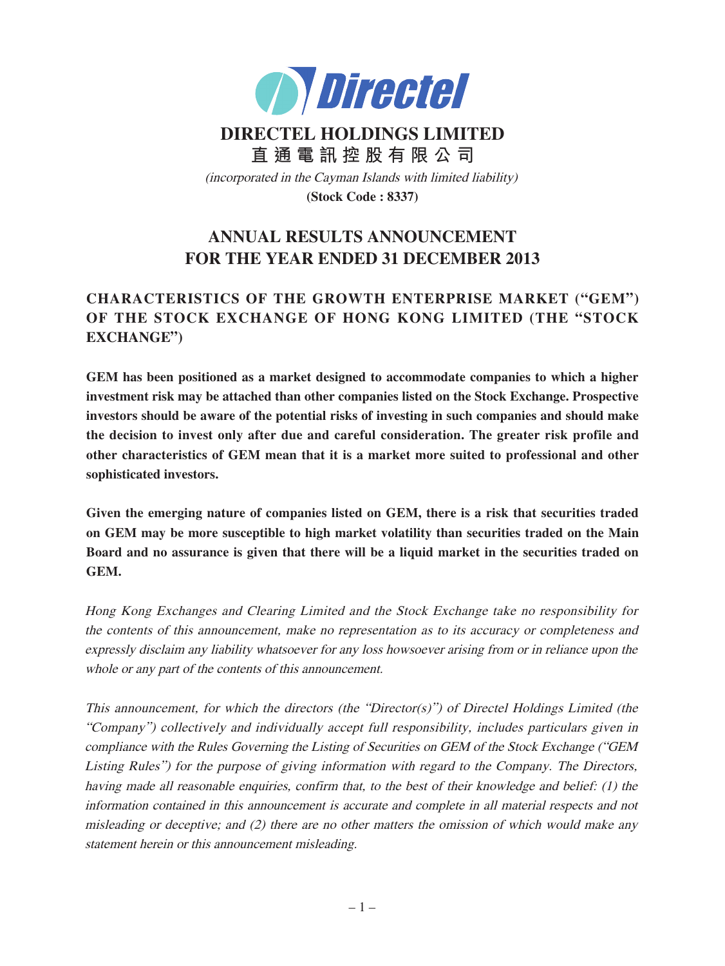

# **DIRECTEL HOLDINGS LIMITED 直 通 電 訊 控 股 有 限 公 司** (incorporated in the Cayman Islands with limited liability) **(Stock Code : 8337)**

# **ANNUAL RESULTS ANNOUNCEMENT FOR THE YEAR ENDED 31 DECEMBER 2013**

## **CHARACTERISTICS OF THE GROWTH ENTERPRISE MARKET ("GEM") OF THE STOCK EXCHANGE OF HONG KONG LIMITED (THE "STOCK EXCHANGE")**

**GEM has been positioned as a market designed to accommodate companies to which a higher investment risk may be attached than other companies listed on the Stock Exchange. Prospective investors should be aware of the potential risks of investing in such companies and should make the decision to invest only after due and careful consideration. The greater risk profile and other characteristics of GEM mean that it is a market more suited to professional and other sophisticated investors.**

**Given the emerging nature of companies listed on GEM, there is a risk that securities traded on GEM may be more susceptible to high market volatility than securities traded on the Main Board and no assurance is given that there will be a liquid market in the securities traded on GEM.**

Hong Kong Exchanges and Clearing Limited and the Stock Exchange take no responsibility for the contents of this announcement, make no representation as to its accuracy or completeness and expressly disclaim any liability whatsoever for any loss howsoever arising from or in reliance upon the whole or any part of the contents of this announcement.

This announcement, for which the directors (the "Director(s)") of Directel Holdings Limited (the "Company") collectively and individually accept full responsibility, includes particulars given in compliance with the Rules Governing the Listing of Securities on GEM of the Stock Exchange ("GEM Listing Rules") for the purpose of giving information with regard to the Company. The Directors, having made all reasonable enquiries, confirm that, to the best of their knowledge and belief: (1) the information contained in this announcement is accurate and complete in all material respects and not misleading or deceptive; and  $(2)$  there are no other matters the omission of which would make any statement herein or this announcement misleading.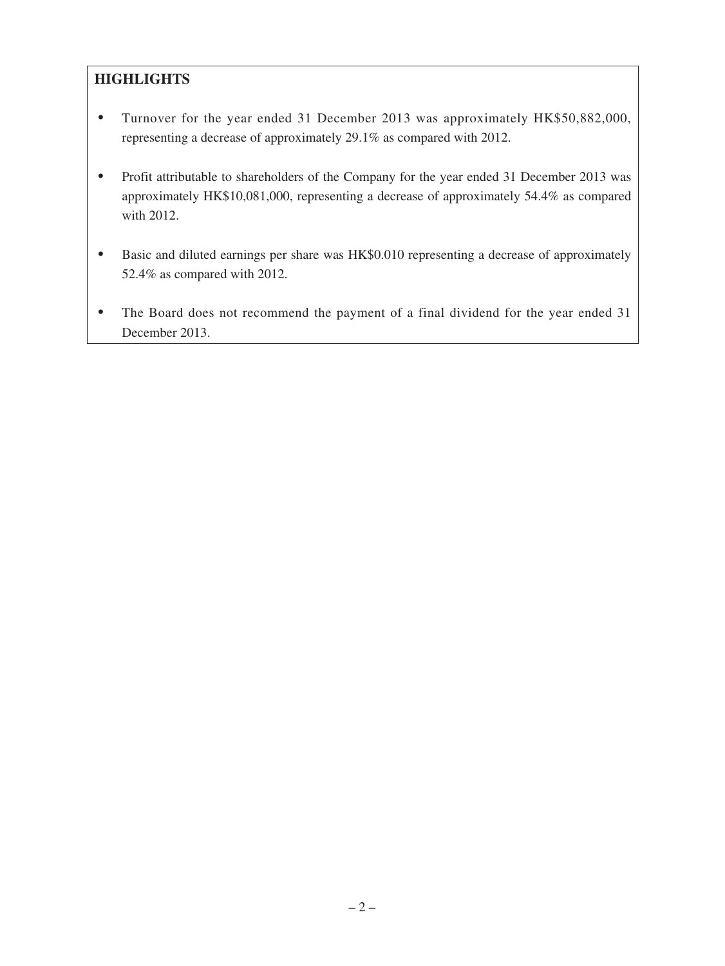## **HIGHLIGHTS**

- ‧ Turnover for the year ended 31 December 2013 was approximately HK\$50,882,000, representing a decrease of approximately 29.1% as compared with 2012.
- Profit attributable to shareholders of the Company for the year ended 31 December 2013 was approximately HK\$10,081,000, representing a decrease of approximately 54.4% as compared with 2012.
- Basic and diluted earnings per share was HK\$0.010 representing a decrease of approximately 52.4% as compared with 2012.
- The Board does not recommend the payment of a final dividend for the year ended 31 December 2013.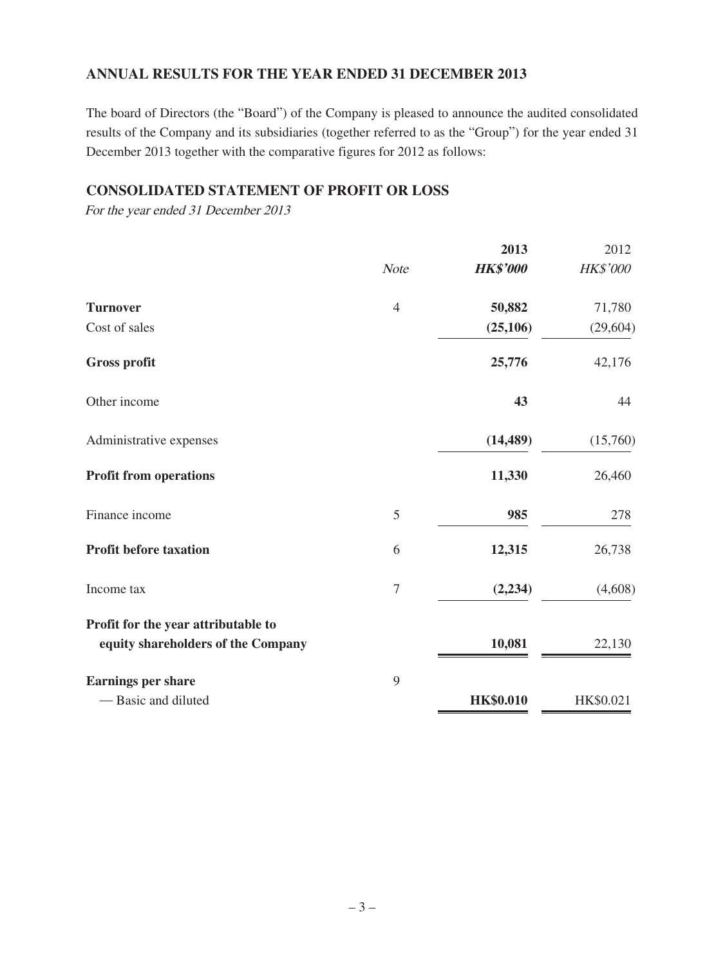## **ANNUAL RESULTS FOR THE YEAR ENDED 31 DECEMBER 2013**

The board of Directors (the "Board") of the Company is pleased to announce the audited consolidated results of the Company and its subsidiaries (together referred to as the "Group") for the year ended 31 December 2013 together with the comparative figures for 2012 as follows:

### **CONSOLIDATED STATEMENT OF PROFIT OR LOSS**

For the year ended 31 December 2013

|                                                                           |                | 2013             | 2012      |
|---------------------------------------------------------------------------|----------------|------------------|-----------|
|                                                                           | <b>Note</b>    | <b>HK\$'000</b>  | HK\$'000  |
| <b>Turnover</b>                                                           | $\overline{4}$ | 50,882           | 71,780    |
| Cost of sales                                                             |                | (25, 106)        | (29, 604) |
| <b>Gross profit</b>                                                       |                | 25,776           | 42,176    |
| Other income                                                              |                | 43               | 44        |
| Administrative expenses                                                   |                | (14, 489)        | (15,760)  |
| <b>Profit from operations</b>                                             |                | 11,330           | 26,460    |
| Finance income                                                            | 5              | 985              | 278       |
| <b>Profit before taxation</b>                                             | 6              | 12,315           | 26,738    |
| Income tax                                                                | $\overline{7}$ | (2, 234)         | (4,608)   |
| Profit for the year attributable to<br>equity shareholders of the Company |                | 10,081           | 22,130    |
| <b>Earnings per share</b>                                                 | 9              |                  |           |
| - Basic and diluted                                                       |                | <b>HK\$0.010</b> | HK\$0.021 |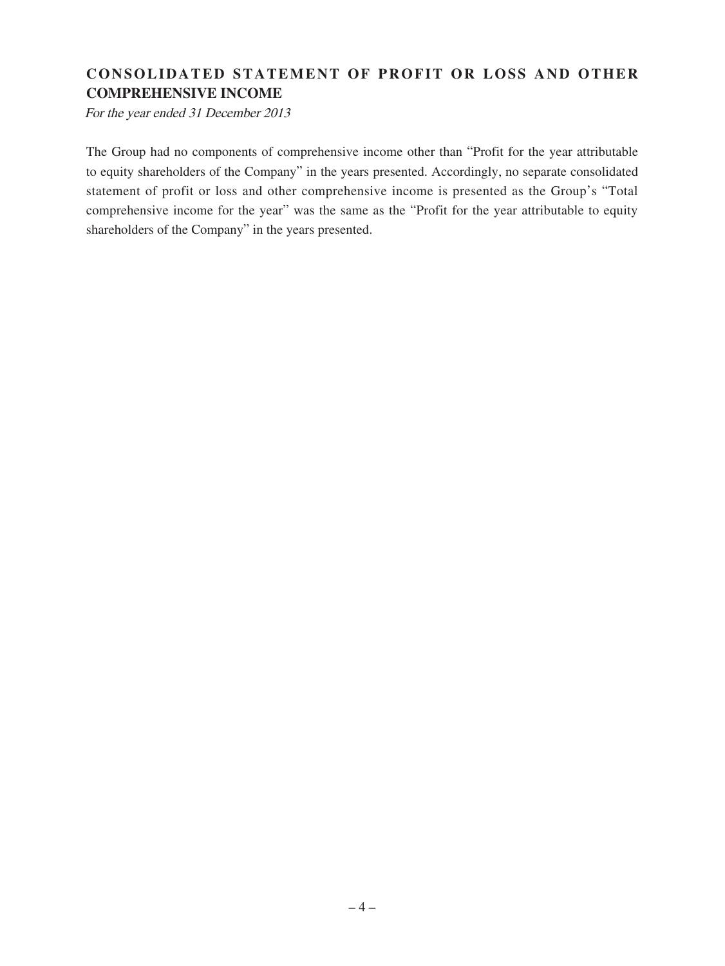## **CONSOLIDATED STATEMENT OF PROFIT OR LOSS AND OTHER COMPREHENSIVE INCOME**

For the year ended 31 December 2013

The Group had no components of comprehensive income other than "Profit for the year attributable to equity shareholders of the Company" in the years presented. Accordingly, no separate consolidated statement of profit or loss and other comprehensive income is presented as the Group's "Total comprehensive income for the year" was the same as the "Profit for the year attributable to equity shareholders of the Company" in the years presented.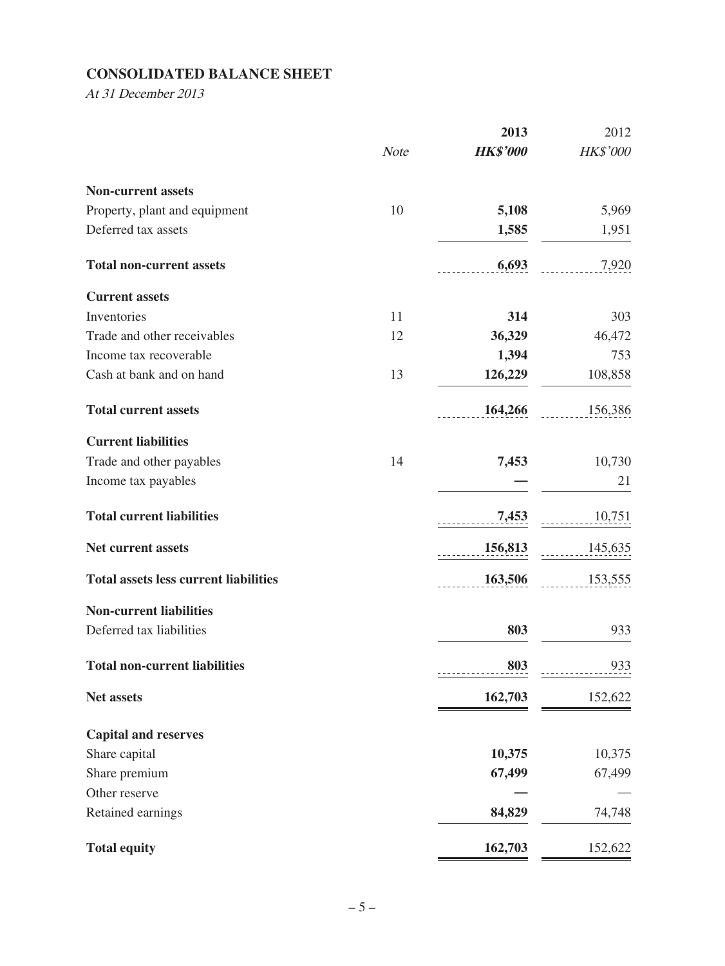## **CONSOLIDATED BALANCE SHEET**

At 31 December 2013

|                                              |             | 2013            | 2012     |
|----------------------------------------------|-------------|-----------------|----------|
|                                              | <b>Note</b> | <b>HK\$'000</b> | HK\$'000 |
| <b>Non-current assets</b>                    |             |                 |          |
| Property, plant and equipment                | 10          | 5,108           | 5,969    |
| Deferred tax assets                          |             | 1,585           | 1,951    |
| <b>Total non-current assets</b>              |             | 6,693           | 7,920    |
| <b>Current assets</b>                        |             |                 |          |
| Inventories                                  | 11          | 314             | 303      |
| Trade and other receivables                  | 12          | 36,329          | 46,472   |
| Income tax recoverable                       |             | 1,394           | 753      |
| Cash at bank and on hand                     | 13          | 126,229         | 108,858  |
| <b>Total current assets</b>                  |             | 164,266         | 156,386  |
| <b>Current liabilities</b>                   |             |                 |          |
| Trade and other payables                     | 14          | 7,453           | 10,730   |
| Income tax payables                          |             |                 | 21       |
| <b>Total current liabilities</b>             |             | 7,453           | 10,751   |
| Net current assets                           |             | 156,813         | 145,635  |
| <b>Total assets less current liabilities</b> |             | 163,506         | 153,555  |
| <b>Non-current liabilities</b>               |             |                 |          |
| Deferred tax liabilities                     |             | 803             | 933      |
| <b>Total non-current liabilities</b>         |             | 803             | 933      |
| <b>Net assets</b>                            |             | 162,703         | 152,622  |
| <b>Capital and reserves</b>                  |             |                 |          |
| Share capital                                |             | 10,375          | 10,375   |
| Share premium                                |             | 67,499          | 67,499   |
| Other reserve                                |             |                 |          |
| Retained earnings                            |             | 84,829          | 74,748   |
| <b>Total equity</b>                          |             | 162,703         | 152,622  |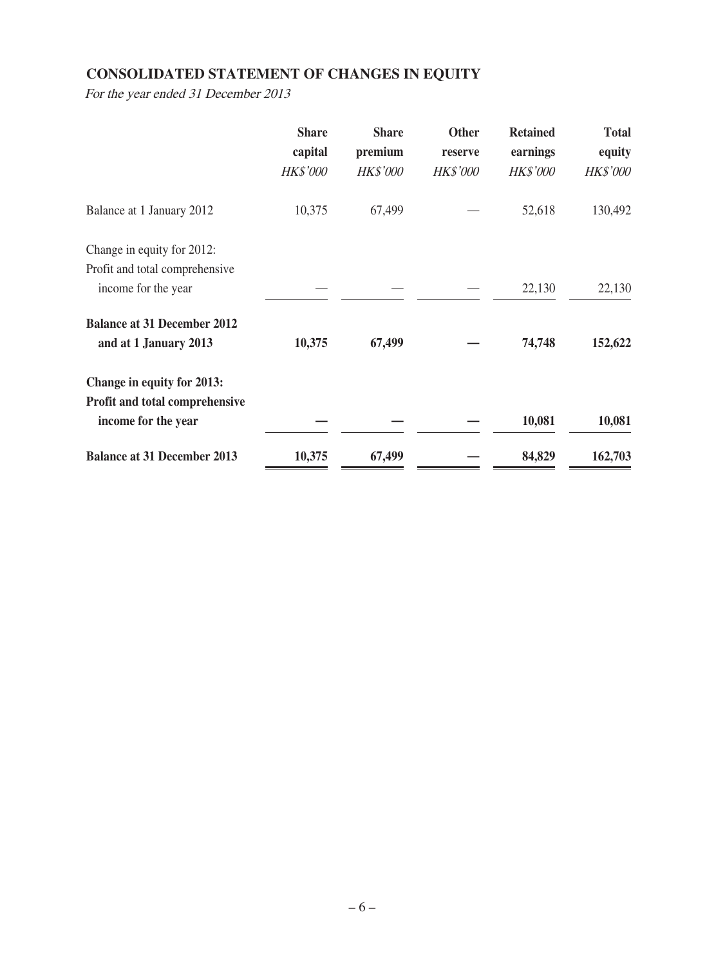## **CONSOLIDATED STATEMENT OF CHANGES IN EQUITY**

For the year ended 31 December 2013

|                                    | <b>Share</b><br>capital | <b>Share</b><br>premium | <b>Other</b><br>reserve | <b>Retained</b><br>earnings | <b>Total</b><br>equity |
|------------------------------------|-------------------------|-------------------------|-------------------------|-----------------------------|------------------------|
|                                    | <b>HK\$'000</b>         | <b>HK\$'000</b>         | <b>HK\$'000</b>         | <b>HK\$'000</b>             | <b>HK\$'000</b>        |
| Balance at 1 January 2012          | 10,375                  | 67,499                  |                         | 52,618                      | 130,492                |
| Change in equity for 2012:         |                         |                         |                         |                             |                        |
| Profit and total comprehensive     |                         |                         |                         |                             |                        |
| income for the year                |                         |                         |                         | 22,130                      | 22,130                 |
| <b>Balance at 31 December 2012</b> |                         |                         |                         |                             |                        |
| and at 1 January 2013              | 10,375                  | 67,499                  |                         | 74,748                      | 152,622                |
| Change in equity for 2013:         |                         |                         |                         |                             |                        |
| Profit and total comprehensive     |                         |                         |                         |                             |                        |
| income for the year                |                         |                         |                         | 10,081                      | 10,081                 |
| <b>Balance at 31 December 2013</b> | 10,375                  | 67,499                  |                         | 84,829                      | 162,703                |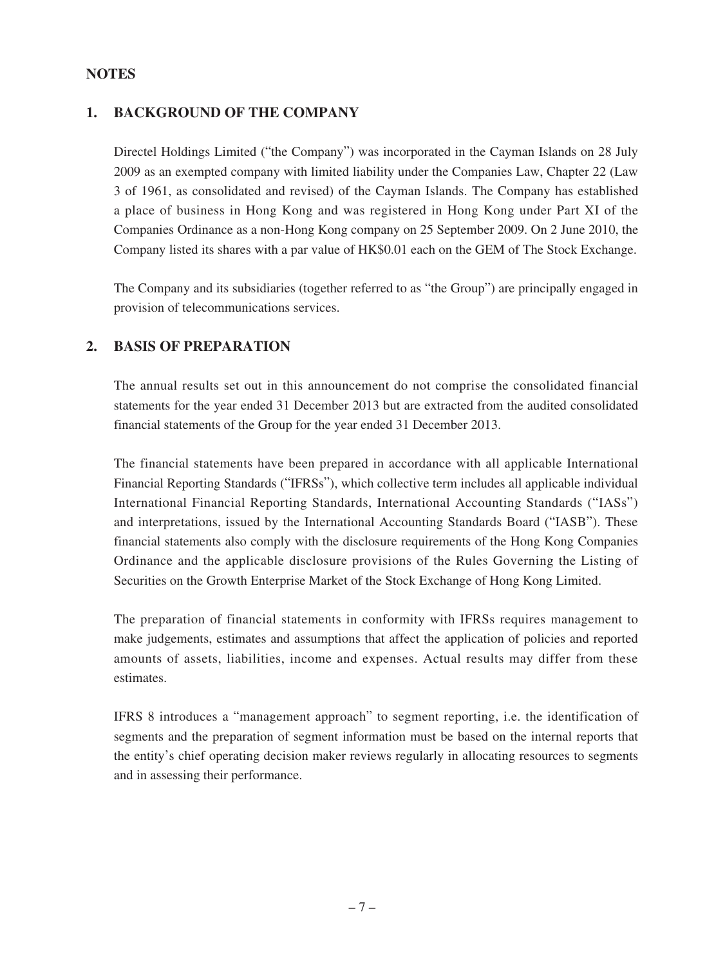### **NOTES**

## **1. BACKGROUND OF THE COMPANY**

Directel Holdings Limited ("the Company") was incorporated in the Cayman Islands on 28 July 2009 as an exempted company with limited liability under the Companies Law, Chapter 22 (Law 3 of 1961, as consolidated and revised) of the Cayman Islands. The Company has established a place of business in Hong Kong and was registered in Hong Kong under Part XI of the Companies Ordinance as a non-Hong Kong company on 25 September 2009. On 2 June 2010, the Company listed its shares with a par value of HK\$0.01 each on the GEM of The Stock Exchange.

The Company and its subsidiaries (together referred to as "the Group") are principally engaged in provision of telecommunications services.

### **2. BASIS OF PREPARATION**

The annual results set out in this announcement do not comprise the consolidated financial statements for the year ended 31 December 2013 but are extracted from the audited consolidated financial statements of the Group for the year ended 31 December 2013.

The financial statements have been prepared in accordance with all applicable International Financial Reporting Standards ("IFRSs"), which collective term includes all applicable individual International Financial Reporting Standards, International Accounting Standards ("IASs") and interpretations, issued by the International Accounting Standards Board ("IASB"). These financial statements also comply with the disclosure requirements of the Hong Kong Companies Ordinance and the applicable disclosure provisions of the Rules Governing the Listing of Securities on the Growth Enterprise Market of the Stock Exchange of Hong Kong Limited.

The preparation of financial statements in conformity with IFRSs requires management to make judgements, estimates and assumptions that affect the application of policies and reported amounts of assets, liabilities, income and expenses. Actual results may differ from these estimates.

IFRS 8 introduces a "management approach" to segment reporting, i.e. the identification of segments and the preparation of segment information must be based on the internal reports that the entity's chief operating decision maker reviews regularly in allocating resources to segments and in assessing their performance.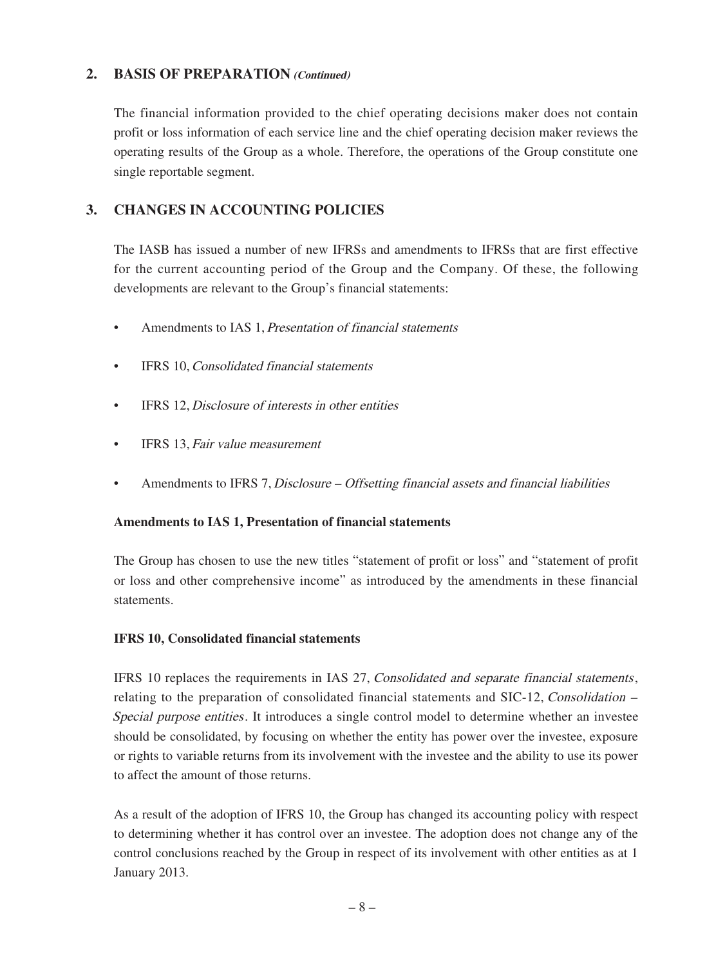### **2. BASIS OF PREPARATION (Continued)**

The financial information provided to the chief operating decisions maker does not contain profit or loss information of each service line and the chief operating decision maker reviews the operating results of the Group as a whole. Therefore, the operations of the Group constitute one single reportable segment.

## **3. CHANGES IN ACCOUNTING POLICIES**

The IASB has issued a number of new IFRSs and amendments to IFRSs that are first effective for the current accounting period of the Group and the Company. Of these, the following developments are relevant to the Group's financial statements:

- Amendments to IAS 1, Presentation of financial statements
- IFRS 10, Consolidated financial statements
- IFRS 12, Disclosure of interests in other entities
- IFRS 13, Fair value measurement
- Amendments to IFRS 7, Disclosure Offsetting financial assets and financial liabilities

### **Amendments to IAS 1, Presentation of financial statements**

The Group has chosen to use the new titles "statement of profit or loss" and "statement of profit or loss and other comprehensive income" as introduced by the amendments in these financial statements.

### **IFRS 10, Consolidated financial statements**

IFRS 10 replaces the requirements in IAS 27, Consolidated and separate financial statements, relating to the preparation of consolidated financial statements and SIC-12, Consolidation – Special purpose entities. It introduces a single control model to determine whether an investee should be consolidated, by focusing on whether the entity has power over the investee, exposure or rights to variable returns from its involvement with the investee and the ability to use its power to affect the amount of those returns.

As a result of the adoption of IFRS 10, the Group has changed its accounting policy with respect to determining whether it has control over an investee. The adoption does not change any of the control conclusions reached by the Group in respect of its involvement with other entities as at 1 January 2013.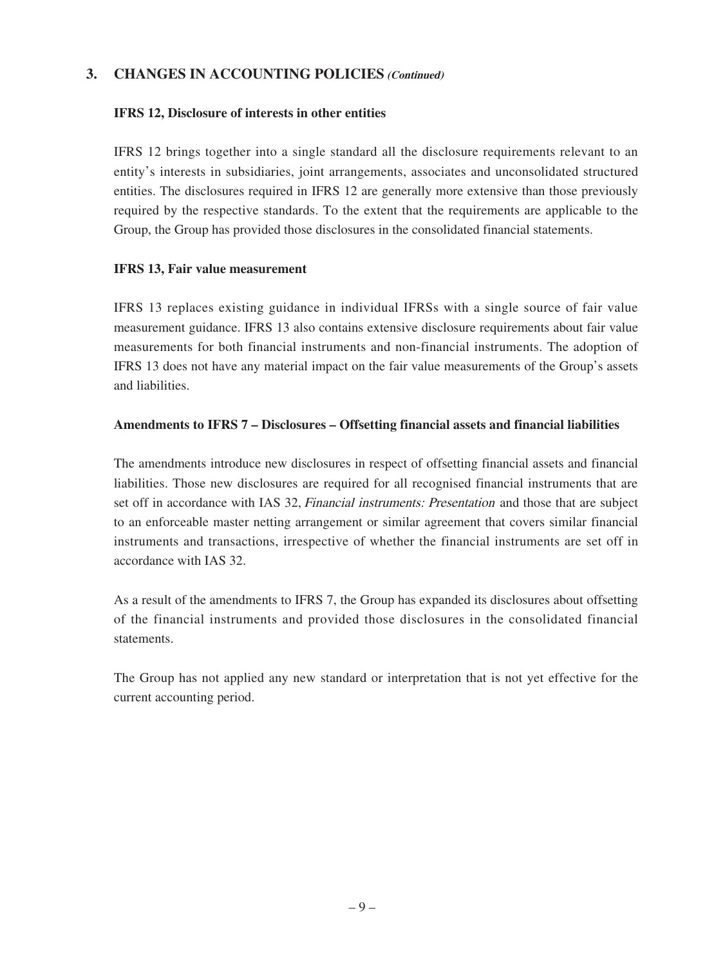## **3. CHANGES IN ACCOUNTING POLICIES (Continued)**

### **IFRS 12, Disclosure of interests in other entities**

IFRS 12 brings together into a single standard all the disclosure requirements relevant to an entity's interests in subsidiaries, joint arrangements, associates and unconsolidated structured entities. The disclosures required in IFRS 12 are generally more extensive than those previously required by the respective standards. To the extent that the requirements are applicable to the Group, the Group has provided those disclosures in the consolidated financial statements.

#### **IFRS 13, Fair value measurement**

IFRS 13 replaces existing guidance in individual IFRSs with a single source of fair value measurement guidance. IFRS 13 also contains extensive disclosure requirements about fair value measurements for both financial instruments and non-financial instruments. The adoption of IFRS 13 does not have any material impact on the fair value measurements of the Group's assets and liabilities.

#### **Amendments to IFRS 7 – Disclosures – Offsetting financial assets and financial liabilities**

The amendments introduce new disclosures in respect of offsetting financial assets and financial liabilities. Those new disclosures are required for all recognised financial instruments that are set off in accordance with IAS 32, *Financial instruments: Presentation* and those that are subject to an enforceable master netting arrangement or similar agreement that covers similar financial instruments and transactions, irrespective of whether the financial instruments are set off in accordance with IAS 32.

As a result of the amendments to IFRS 7, the Group has expanded its disclosures about offsetting of the financial instruments and provided those disclosures in the consolidated financial statements.

The Group has not applied any new standard or interpretation that is not yet effective for the current accounting period.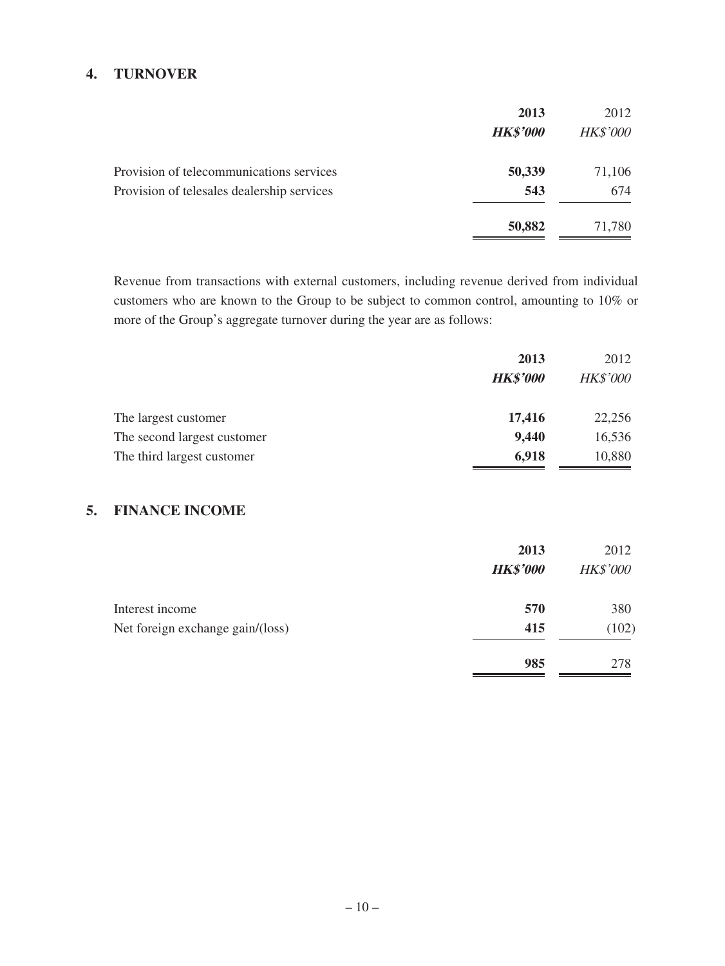### **4. TURNOVER**

|                                            | 2013            | 2012            |
|--------------------------------------------|-----------------|-----------------|
|                                            | <b>HK\$'000</b> | <b>HK\$'000</b> |
| Provision of telecommunications services   | 50,339          | 71,106          |
| Provision of telesales dealership services | 543             | 674             |
|                                            | 50,882          | 71,780          |

Revenue from transactions with external customers, including revenue derived from individual customers who are known to the Group to be subject to common control, amounting to 10% or more of the Group's aggregate turnover during the year are as follows:

|                             | 2013            | 2012            |
|-----------------------------|-----------------|-----------------|
|                             | <b>HK\$'000</b> | <b>HK\$'000</b> |
| The largest customer        | 17,416          | 22,256          |
| The second largest customer | 9,440           | 16,536          |
| The third largest customer  | 6,918           | 10,880          |

### **5. FINANCE INCOME**

|                                  | 2013<br><b>HK\$'000</b> | 2012<br><b>HK\$'000</b> |
|----------------------------------|-------------------------|-------------------------|
| Interest income                  | 570                     | 380                     |
| Net foreign exchange gain/(loss) | 415                     | (102)                   |
|                                  | 985                     | 278                     |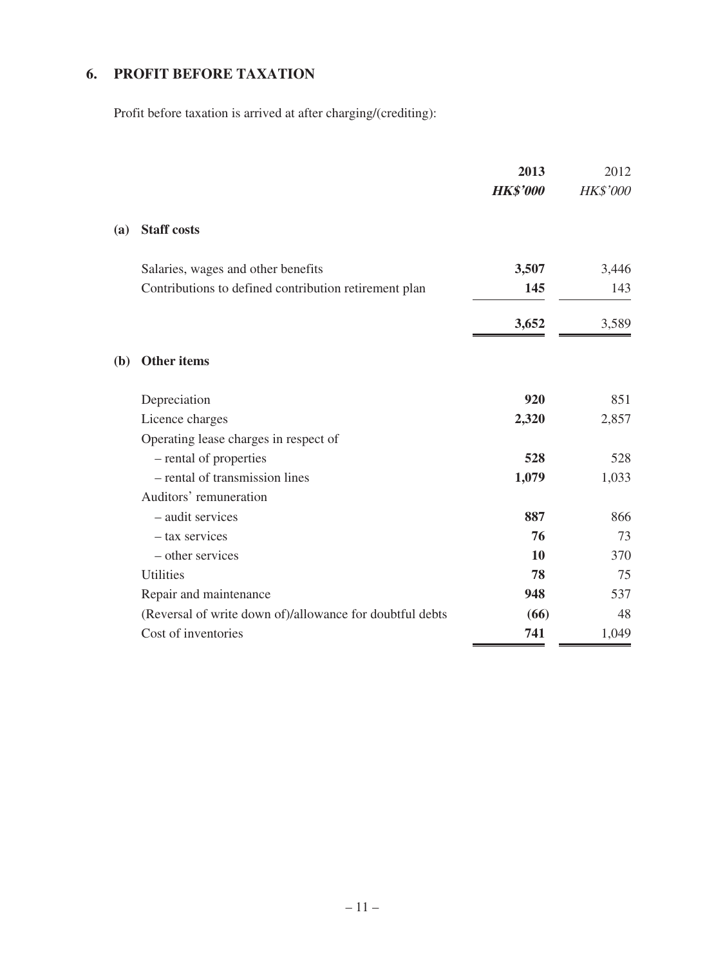# **6. PROFIT BEFORE TAXATION**

Profit before taxation is arrived at after charging/(crediting):

|     |                                                          | 2013<br><b>HK\$'000</b> | 2012<br><b>HK\$'000</b> |
|-----|----------------------------------------------------------|-------------------------|-------------------------|
| (a) | <b>Staff costs</b>                                       |                         |                         |
|     | Salaries, wages and other benefits                       | 3,507                   | 3,446                   |
|     | Contributions to defined contribution retirement plan    | 145                     | 143                     |
|     |                                                          | 3,652                   | 3,589                   |
| (b) | Other items                                              |                         |                         |
|     | Depreciation                                             | 920                     | 851                     |
|     | Licence charges                                          | 2,320                   | 2,857                   |
|     | Operating lease charges in respect of                    |                         |                         |
|     | - rental of properties                                   | 528                     | 528                     |
|     | - rental of transmission lines                           | 1,079                   | 1,033                   |
|     | Auditors' remuneration                                   |                         |                         |
|     | - audit services                                         | 887                     | 866                     |
|     | - tax services                                           | 76                      | 73                      |
|     | - other services                                         | 10                      | 370                     |
|     | <b>Utilities</b>                                         | 78                      | 75                      |
|     | Repair and maintenance                                   | 948                     | 537                     |
|     | (Reversal of write down of)/allowance for doubtful debts | (66)                    | 48                      |
|     | Cost of inventories                                      | 741                     | 1,049                   |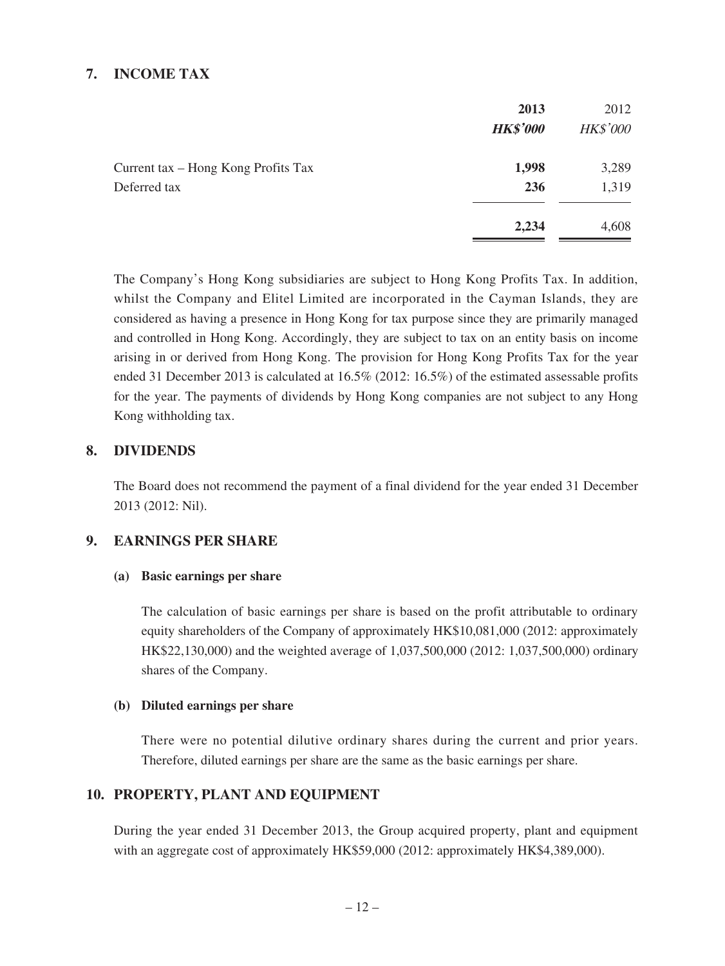## **7. INCOME TAX**

|                                     | 2013<br><b>HK\$'000</b> | 2012<br><b>HK\$'000</b> |
|-------------------------------------|-------------------------|-------------------------|
| Current tax – Hong Kong Profits Tax | 1,998                   | 3,289                   |
| Deferred tax                        | 236                     | 1,319                   |
|                                     | 2,234                   | 4,608                   |

The Company's Hong Kong subsidiaries are subject to Hong Kong Profits Tax. In addition, whilst the Company and Elitel Limited are incorporated in the Cayman Islands, they are considered as having a presence in Hong Kong for tax purpose since they are primarily managed and controlled in Hong Kong. Accordingly, they are subject to tax on an entity basis on income arising in or derived from Hong Kong. The provision for Hong Kong Profits Tax for the year ended 31 December 2013 is calculated at 16.5% (2012: 16.5%) of the estimated assessable profits for the year. The payments of dividends by Hong Kong companies are not subject to any Hong Kong withholding tax.

### **8. DIVIDENDS**

The Board does not recommend the payment of a final dividend for the year ended 31 December 2013 (2012: Nil).

### **9. EARNINGS PER SHARE**

#### **(a) Basic earnings per share**

The calculation of basic earnings per share is based on the profit attributable to ordinary equity shareholders of the Company of approximately HK\$10,081,000 (2012: approximately HK\$22,130,000) and the weighted average of 1,037,500,000 (2012: 1,037,500,000) ordinary shares of the Company.

#### **(b) Diluted earnings per share**

There were no potential dilutive ordinary shares during the current and prior years. Therefore, diluted earnings per share are the same as the basic earnings per share.

### **10. PROPERTY, PLANT AND EQUIPMENT**

During the year ended 31 December 2013, the Group acquired property, plant and equipment with an aggregate cost of approximately HK\$59,000 (2012: approximately HK\$4,389,000).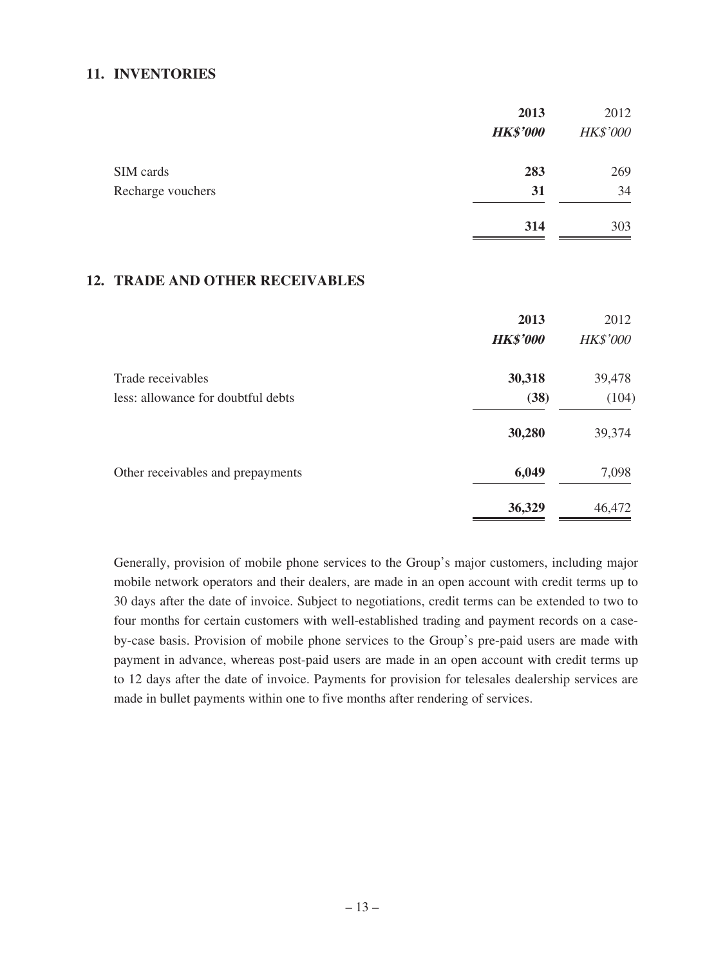#### **11. INVENTORIES**

|                   | 2013            | 2012            |
|-------------------|-----------------|-----------------|
|                   | <b>HK\$'000</b> | <b>HK\$'000</b> |
| SIM cards         | 283             | 269             |
| Recharge vouchers | 31              | 34              |
|                   | 314             | 303             |

### **12. TRADE AND OTHER RECEIVABLES**

|                                    | 2013            | 2012            |
|------------------------------------|-----------------|-----------------|
|                                    | <b>HK\$'000</b> | <b>HK\$'000</b> |
| Trade receivables                  | 30,318          | 39,478          |
| less: allowance for doubtful debts | (38)            | (104)           |
|                                    | 30,280          | 39,374          |
| Other receivables and prepayments  | 6,049           | 7,098           |
|                                    | 36,329          | 46,472          |

Generally, provision of mobile phone services to the Group's major customers, including major mobile network operators and their dealers, are made in an open account with credit terms up to 30 days after the date of invoice. Subject to negotiations, credit terms can be extended to two to four months for certain customers with well-established trading and payment records on a caseby-case basis. Provision of mobile phone services to the Group's pre-paid users are made with payment in advance, whereas post-paid users are made in an open account with credit terms up to 12 days after the date of invoice. Payments for provision for telesales dealership services are made in bullet payments within one to five months after rendering of services.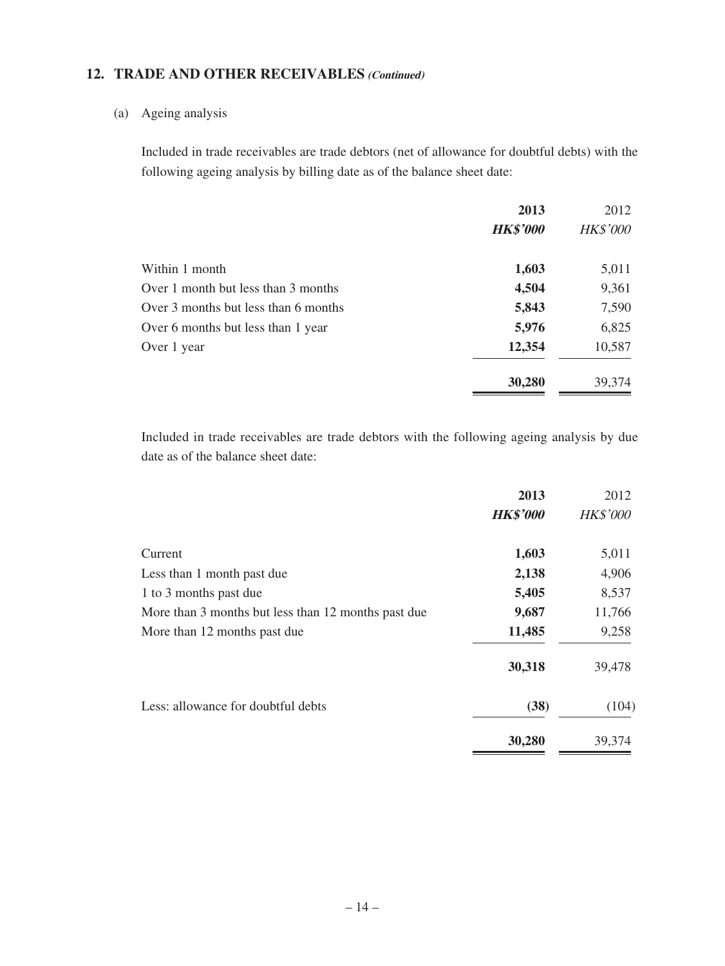## **12. TRADE AND OTHER RECEIVABLES (Continued)**

## (a) Ageing analysis

Included in trade receivables are trade debtors (net of allowance for doubtful debts) with the following ageing analysis by billing date as of the balance sheet date:

|                                      | 2013            | 2012            |
|--------------------------------------|-----------------|-----------------|
|                                      | <b>HK\$'000</b> | <b>HK\$'000</b> |
| Within 1 month                       | 1,603           | 5,011           |
| Over 1 month but less than 3 months  | 4,504           | 9,361           |
| Over 3 months but less than 6 months | 5,843           | 7,590           |
| Over 6 months but less than 1 year   | 5,976           | 6,825           |
| Over 1 year                          | 12,354          | 10,587          |
|                                      | 30,280          | 39,374          |

Included in trade receivables are trade debtors with the following ageing analysis by due date as of the balance sheet date:

|                                                     | 2013<br><b>HK\$'000</b> | 2012<br><b>HK\$'000</b> |
|-----------------------------------------------------|-------------------------|-------------------------|
|                                                     |                         |                         |
| Current                                             | 1,603                   | 5,011                   |
| Less than 1 month past due                          | 2,138                   | 4,906                   |
| 1 to 3 months past due                              | 5,405                   | 8,537                   |
| More than 3 months but less than 12 months past due | 9,687                   | 11,766                  |
| More than 12 months past due                        | 11,485                  | 9,258                   |
|                                                     | 30,318                  | 39,478                  |
| Less: allowance for doubtful debts                  | (38)                    | (104)                   |
|                                                     | 30,280                  | 39,374                  |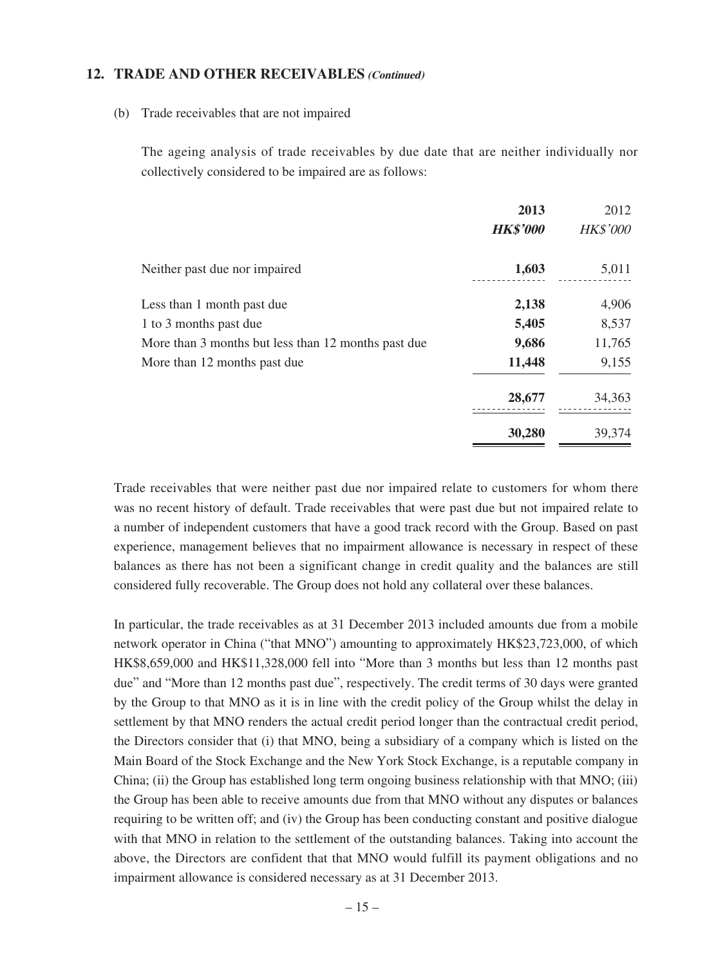#### **12. TRADE AND OTHER RECEIVABLES (Continued)**

#### (b) Trade receivables that are not impaired

The ageing analysis of trade receivables by due date that are neither individually nor collectively considered to be impaired are as follows:

|                                                     | 2013            | 2012            |
|-----------------------------------------------------|-----------------|-----------------|
|                                                     | <b>HK\$'000</b> | <b>HK\$'000</b> |
| Neither past due nor impaired                       | 1,603           | 5,011           |
| Less than 1 month past due                          | 2,138           | 4,906           |
| 1 to 3 months past due                              | 5,405           | 8,537           |
| More than 3 months but less than 12 months past due | 9,686           | 11,765          |
| More than 12 months past due                        | 11,448          | 9,155           |
|                                                     | 28,677          | 34,363          |
|                                                     | 30,280          | 39,374          |

Trade receivables that were neither past due nor impaired relate to customers for whom there was no recent history of default. Trade receivables that were past due but not impaired relate to a number of independent customers that have a good track record with the Group. Based on past experience, management believes that no impairment allowance is necessary in respect of these balances as there has not been a significant change in credit quality and the balances are still considered fully recoverable. The Group does not hold any collateral over these balances.

In particular, the trade receivables as at 31 December 2013 included amounts due from a mobile network operator in China ("that MNO") amounting to approximately HK\$23,723,000, of which HK\$8,659,000 and HK\$11,328,000 fell into "More than 3 months but less than 12 months past due" and "More than 12 months past due", respectively. The credit terms of 30 days were granted by the Group to that MNO as it is in line with the credit policy of the Group whilst the delay in settlement by that MNO renders the actual credit period longer than the contractual credit period, the Directors consider that (i) that MNO, being a subsidiary of a company which is listed on the Main Board of the Stock Exchange and the New York Stock Exchange, is a reputable company in China; (ii) the Group has established long term ongoing business relationship with that MNO; (iii) the Group has been able to receive amounts due from that MNO without any disputes or balances requiring to be written off; and (iv) the Group has been conducting constant and positive dialogue with that MNO in relation to the settlement of the outstanding balances. Taking into account the above, the Directors are confident that that MNO would fulfill its payment obligations and no impairment allowance is considered necessary as at 31 December 2013.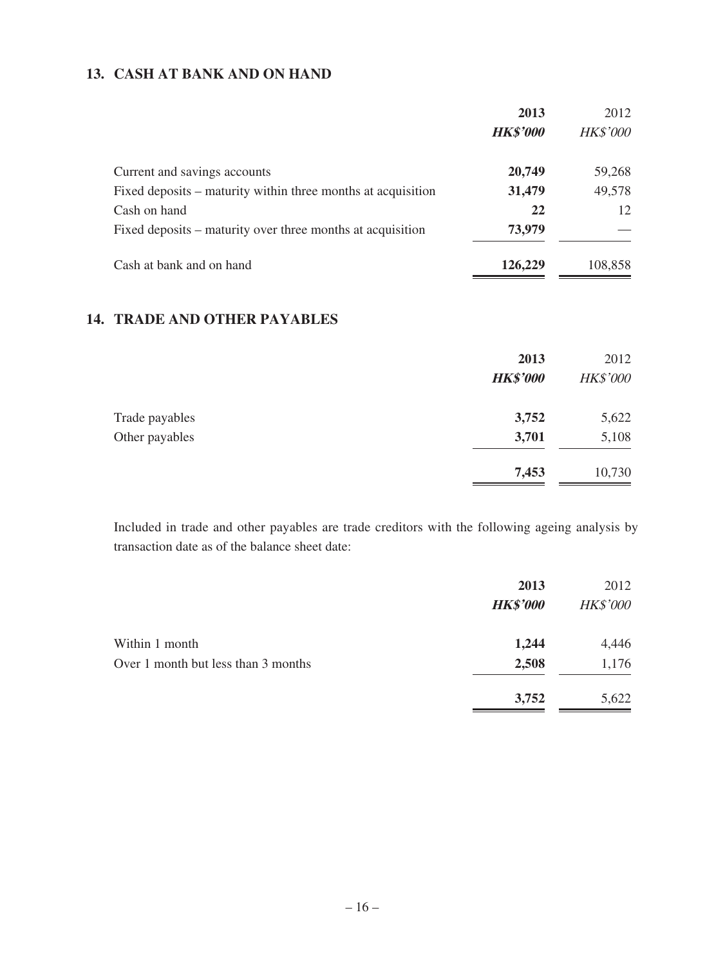## **13. CASH AT BANK AND ON HAND**

|                                                              | 2013            | 2012            |
|--------------------------------------------------------------|-----------------|-----------------|
|                                                              | <b>HK\$'000</b> | <b>HK\$'000</b> |
| Current and savings accounts                                 | 20,749          | 59,268          |
| Fixed deposits – maturity within three months at acquisition | 31,479          | 49,578          |
| Cash on hand                                                 | 22              | 12              |
| Fixed deposits – maturity over three months at acquisition   | 73,979          |                 |
| Cash at bank and on hand                                     | 126,229         | 108,858         |

## **14. TRADE AND OTHER PAYABLES**

|                | 2013<br><b>HK\$'000</b> | 2012<br><b>HK\$'000</b> |
|----------------|-------------------------|-------------------------|
| Trade payables | 3,752                   | 5,622                   |
| Other payables | 3,701                   | 5,108                   |
|                | 7,453                   | 10,730                  |

Included in trade and other payables are trade creditors with the following ageing analysis by transaction date as of the balance sheet date:

|                                     | 2013            | 2012            |
|-------------------------------------|-----------------|-----------------|
|                                     | <b>HK\$'000</b> | <b>HK\$'000</b> |
| Within 1 month                      | 1,244           | 4,446           |
| Over 1 month but less than 3 months | 2,508           | 1,176           |
|                                     | 3,752           | 5,622           |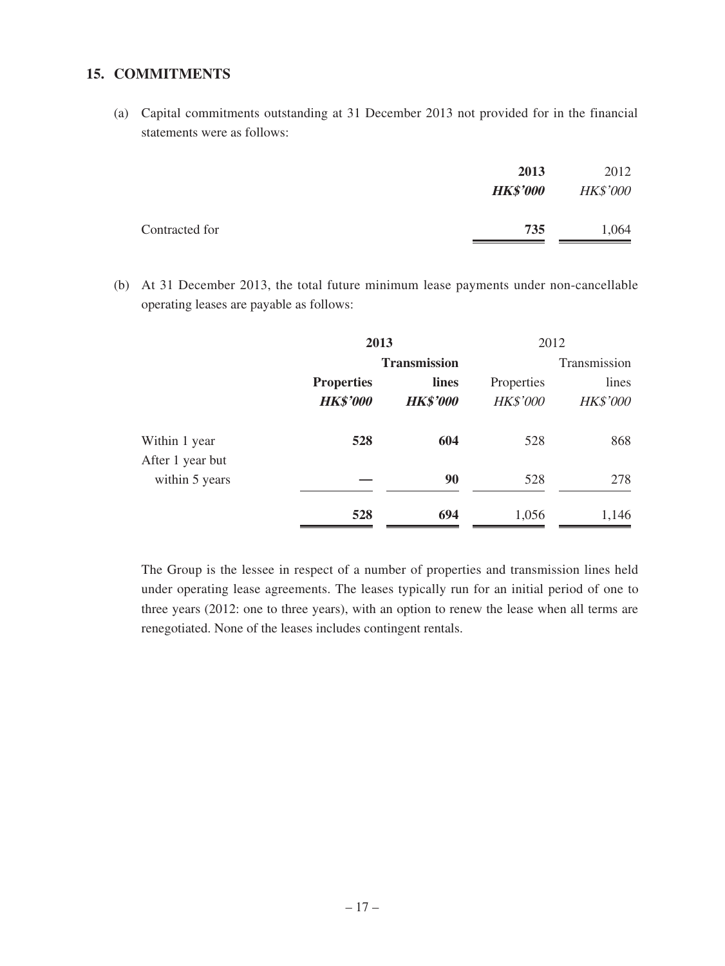### **15. COMMITMENTS**

(a) Capital commitments outstanding at 31 December 2013 not provided for in the financial statements were as follows:

|                | 2013<br><b>HK\$'000</b> | 2012<br><b>HK\$'000</b> |
|----------------|-------------------------|-------------------------|
| Contracted for | 735                     | 1,064                   |

(b) At 31 December 2013, the total future minimum lease payments under non-cancellable operating leases are payable as follows:

|                                   | 2013                                 |                          |                               | 2012                     |
|-----------------------------------|--------------------------------------|--------------------------|-------------------------------|--------------------------|
|                                   | <b>Transmission</b>                  |                          |                               | Transmission             |
|                                   | <b>Properties</b><br><b>HK\$'000</b> | lines<br><b>HK\$'000</b> | Properties<br><b>HK\$'000</b> | lines<br><b>HK\$'000</b> |
| Within 1 year<br>After 1 year but | 528                                  | 604                      | 528                           | 868                      |
| within 5 years                    |                                      | 90                       | 528                           | 278                      |
|                                   | 528                                  | 694                      | 1,056                         | 1,146                    |

The Group is the lessee in respect of a number of properties and transmission lines held under operating lease agreements. The leases typically run for an initial period of one to three years (2012: one to three years), with an option to renew the lease when all terms are renegotiated. None of the leases includes contingent rentals.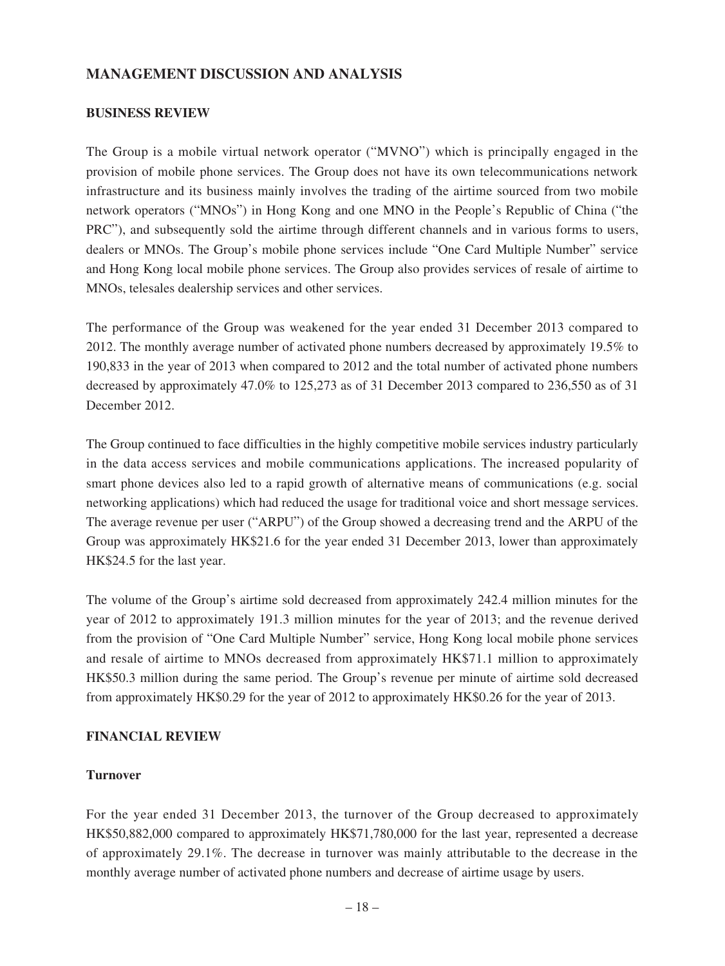### **MANAGEMENT DISCUSSION AND ANALYSIS**

#### **BUSINESS REVIEW**

The Group is a mobile virtual network operator ("MVNO") which is principally engaged in the provision of mobile phone services. The Group does not have its own telecommunications network infrastructure and its business mainly involves the trading of the airtime sourced from two mobile network operators ("MNOs") in Hong Kong and one MNO in the People's Republic of China ("the PRC"), and subsequently sold the airtime through different channels and in various forms to users, dealers or MNOs. The Group's mobile phone services include "One Card Multiple Number" service and Hong Kong local mobile phone services. The Group also provides services of resale of airtime to MNOs, telesales dealership services and other services.

The performance of the Group was weakened for the year ended 31 December 2013 compared to 2012. The monthly average number of activated phone numbers decreased by approximately 19.5% to 190,833 in the year of 2013 when compared to 2012 and the total number of activated phone numbers decreased by approximately 47.0% to 125,273 as of 31 December 2013 compared to 236,550 as of 31 December 2012.

The Group continued to face difficulties in the highly competitive mobile services industry particularly in the data access services and mobile communications applications. The increased popularity of smart phone devices also led to a rapid growth of alternative means of communications (e.g. social networking applications) which had reduced the usage for traditional voice and short message services. The average revenue per user ("ARPU") of the Group showed a decreasing trend and the ARPU of the Group was approximately HK\$21.6 for the year ended 31 December 2013, lower than approximately HK\$24.5 for the last year.

The volume of the Group's airtime sold decreased from approximately 242.4 million minutes for the year of 2012 to approximately 191.3 million minutes for the year of 2013; and the revenue derived from the provision of "One Card Multiple Number" service, Hong Kong local mobile phone services and resale of airtime to MNOs decreased from approximately HK\$71.1 million to approximately HK\$50.3 million during the same period. The Group's revenue per minute of airtime sold decreased from approximately HK\$0.29 for the year of 2012 to approximately HK\$0.26 for the year of 2013.

#### **FINANCIAL REVIEW**

#### **Turnover**

For the year ended 31 December 2013, the turnover of the Group decreased to approximately HK\$50,882,000 compared to approximately HK\$71,780,000 for the last year, represented a decrease of approximately 29.1%. The decrease in turnover was mainly attributable to the decrease in the monthly average number of activated phone numbers and decrease of airtime usage by users.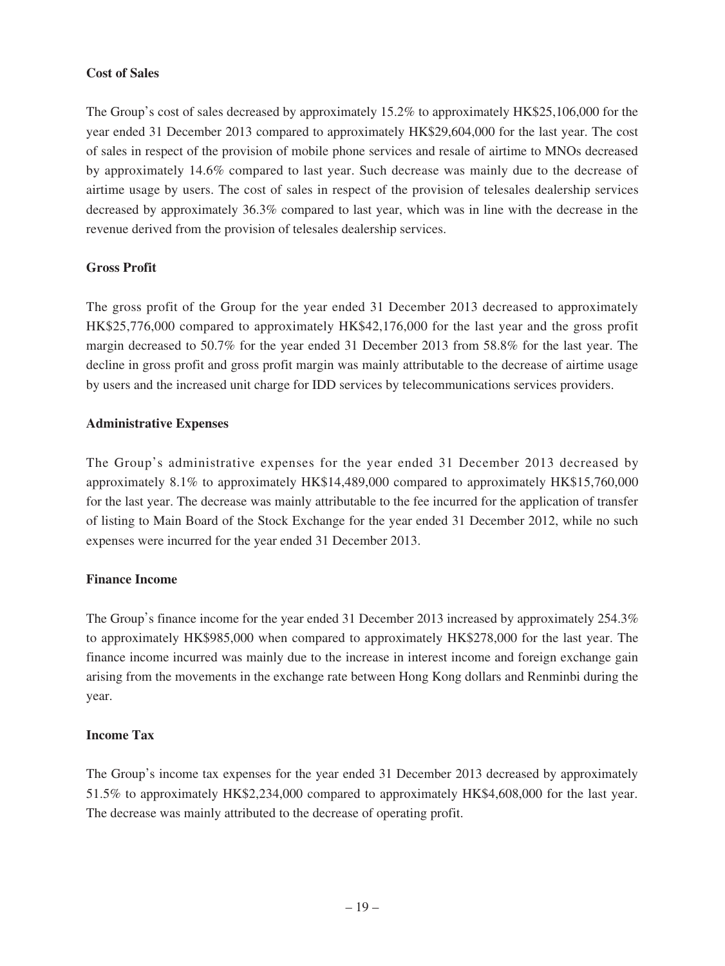### **Cost of Sales**

The Group's cost of sales decreased by approximately 15.2% to approximately HK\$25,106,000 for the year ended 31 December 2013 compared to approximately HK\$29,604,000 for the last year. The cost of sales in respect of the provision of mobile phone services and resale of airtime to MNOs decreased by approximately 14.6% compared to last year. Such decrease was mainly due to the decrease of airtime usage by users. The cost of sales in respect of the provision of telesales dealership services decreased by approximately 36.3% compared to last year, which was in line with the decrease in the revenue derived from the provision of telesales dealership services.

### **Gross Profit**

The gross profit of the Group for the year ended 31 December 2013 decreased to approximately HK\$25,776,000 compared to approximately HK\$42,176,000 for the last year and the gross profit margin decreased to 50.7% for the year ended 31 December 2013 from 58.8% for the last year. The decline in gross profit and gross profit margin was mainly attributable to the decrease of airtime usage by users and the increased unit charge for IDD services by telecommunications services providers.

### **Administrative Expenses**

The Group's administrative expenses for the year ended 31 December 2013 decreased by approximately 8.1% to approximately HK\$14,489,000 compared to approximately HK\$15,760,000 for the last year. The decrease was mainly attributable to the fee incurred for the application of transfer of listing to Main Board of the Stock Exchange for the year ended 31 December 2012, while no such expenses were incurred for the year ended 31 December 2013.

### **Finance Income**

The Group's finance income for the year ended 31 December 2013 increased by approximately 254.3% to approximately HK\$985,000 when compared to approximately HK\$278,000 for the last year. The finance income incurred was mainly due to the increase in interest income and foreign exchange gain arising from the movements in the exchange rate between Hong Kong dollars and Renminbi during the year.

### **Income Tax**

The Group's income tax expenses for the year ended 31 December 2013 decreased by approximately 51.5% to approximately HK\$2,234,000 compared to approximately HK\$4,608,000 for the last year. The decrease was mainly attributed to the decrease of operating profit.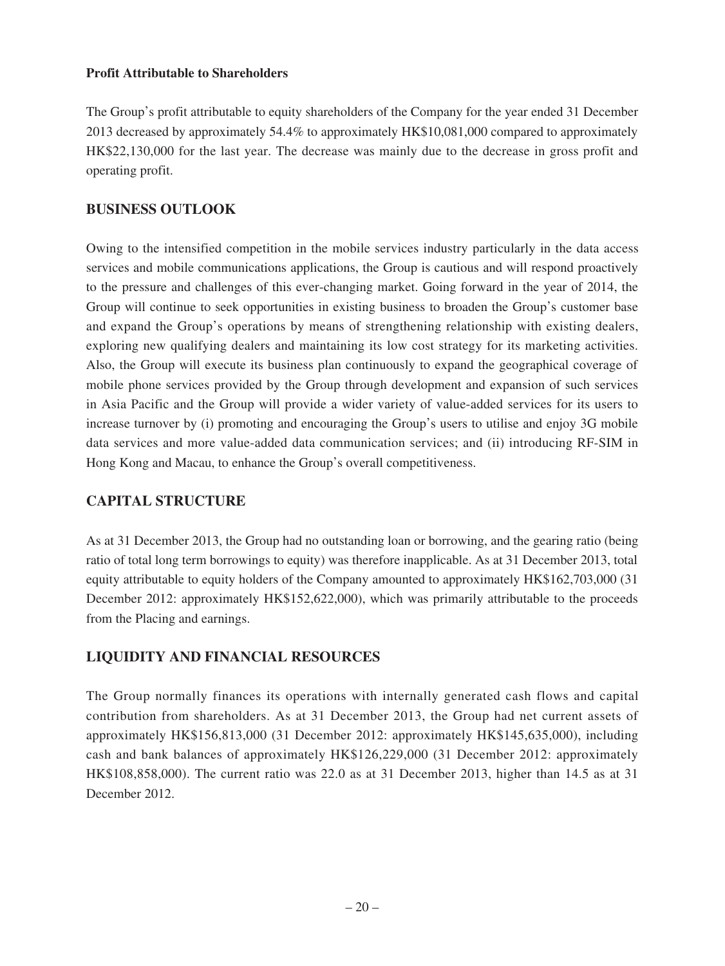#### **Profit Attributable to Shareholders**

The Group's profit attributable to equity shareholders of the Company for the year ended 31 December 2013 decreased by approximately 54.4% to approximately HK\$10,081,000 compared to approximately HK\$22,130,000 for the last year. The decrease was mainly due to the decrease in gross profit and operating profit.

## **BUSINESS OUTLOOK**

Owing to the intensified competition in the mobile services industry particularly in the data access services and mobile communications applications, the Group is cautious and will respond proactively to the pressure and challenges of this ever-changing market. Going forward in the year of 2014, the Group will continue to seek opportunities in existing business to broaden the Group's customer base and expand the Group's operations by means of strengthening relationship with existing dealers, exploring new qualifying dealers and maintaining its low cost strategy for its marketing activities. Also, the Group will execute its business plan continuously to expand the geographical coverage of mobile phone services provided by the Group through development and expansion of such services in Asia Pacific and the Group will provide a wider variety of value-added services for its users to increase turnover by (i) promoting and encouraging the Group's users to utilise and enjoy 3G mobile data services and more value-added data communication services; and (ii) introducing RF-SIM in Hong Kong and Macau, to enhance the Group's overall competitiveness.

## **CAPITAL STRUCTURE**

As at 31 December 2013, the Group had no outstanding loan or borrowing, and the gearing ratio (being ratio of total long term borrowings to equity) was therefore inapplicable. As at 31 December 2013, total equity attributable to equity holders of the Company amounted to approximately HK\$162,703,000 (31 December 2012: approximately HK\$152,622,000), which was primarily attributable to the proceeds from the Placing and earnings.

## **LIQUIDITY AND FINANCIAL RESOURCES**

The Group normally finances its operations with internally generated cash flows and capital contribution from shareholders. As at 31 December 2013, the Group had net current assets of approximately HK\$156,813,000 (31 December 2012: approximately HK\$145,635,000), including cash and bank balances of approximately HK\$126,229,000 (31 December 2012: approximately HK\$108,858,000). The current ratio was 22.0 as at 31 December 2013, higher than 14.5 as at 31 December 2012.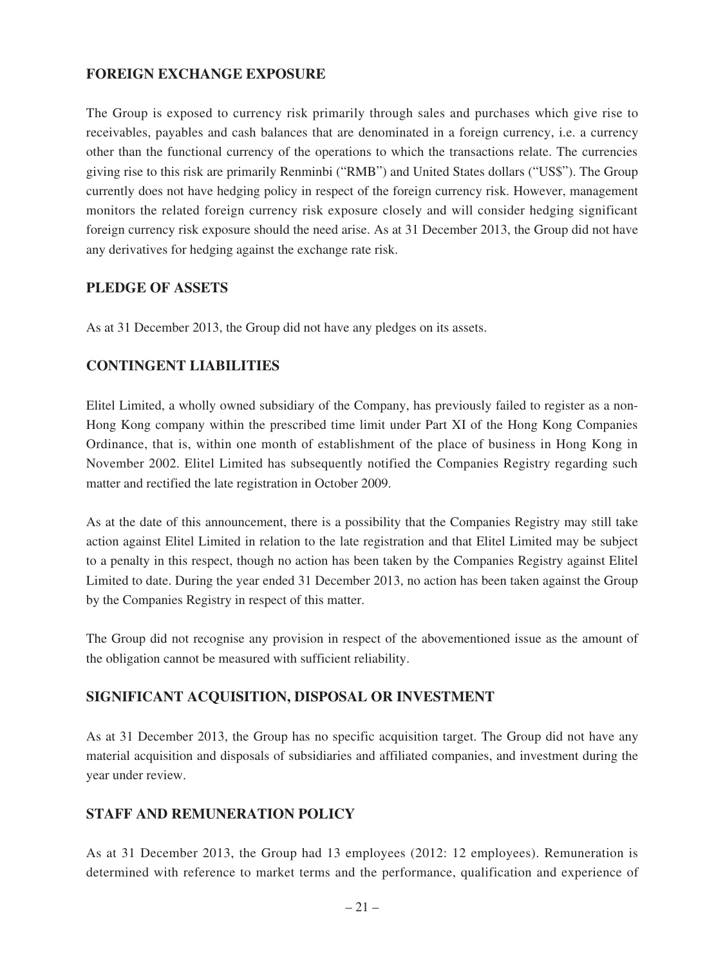## **FOREIGN EXCHANGE EXPOSURE**

The Group is exposed to currency risk primarily through sales and purchases which give rise to receivables, payables and cash balances that are denominated in a foreign currency, i.e. a currency other than the functional currency of the operations to which the transactions relate. The currencies giving rise to this risk are primarily Renminbi ("RMB") and United States dollars ("US\$"). The Group currently does not have hedging policy in respect of the foreign currency risk. However, management monitors the related foreign currency risk exposure closely and will consider hedging significant foreign currency risk exposure should the need arise. As at 31 December 2013, the Group did not have any derivatives for hedging against the exchange rate risk.

### **PLEDGE OF ASSETS**

As at 31 December 2013, the Group did not have any pledges on its assets.

## **CONTINGENT LIABILITIES**

Elitel Limited, a wholly owned subsidiary of the Company, has previously failed to register as a non-Hong Kong company within the prescribed time limit under Part XI of the Hong Kong Companies Ordinance, that is, within one month of establishment of the place of business in Hong Kong in November 2002. Elitel Limited has subsequently notified the Companies Registry regarding such matter and rectified the late registration in October 2009.

As at the date of this announcement, there is a possibility that the Companies Registry may still take action against Elitel Limited in relation to the late registration and that Elitel Limited may be subject to a penalty in this respect, though no action has been taken by the Companies Registry against Elitel Limited to date. During the year ended 31 December 2013, no action has been taken against the Group by the Companies Registry in respect of this matter.

The Group did not recognise any provision in respect of the abovementioned issue as the amount of the obligation cannot be measured with sufficient reliability.

### **SIGNIFICANT ACQUISITION, DISPOSAL OR INVESTMENT**

As at 31 December 2013, the Group has no specific acquisition target. The Group did not have any material acquisition and disposals of subsidiaries and affiliated companies, and investment during the year under review.

### **STAFF AND REMUNERATION POLICY**

As at 31 December 2013, the Group had 13 employees (2012: 12 employees). Remuneration is determined with reference to market terms and the performance, qualification and experience of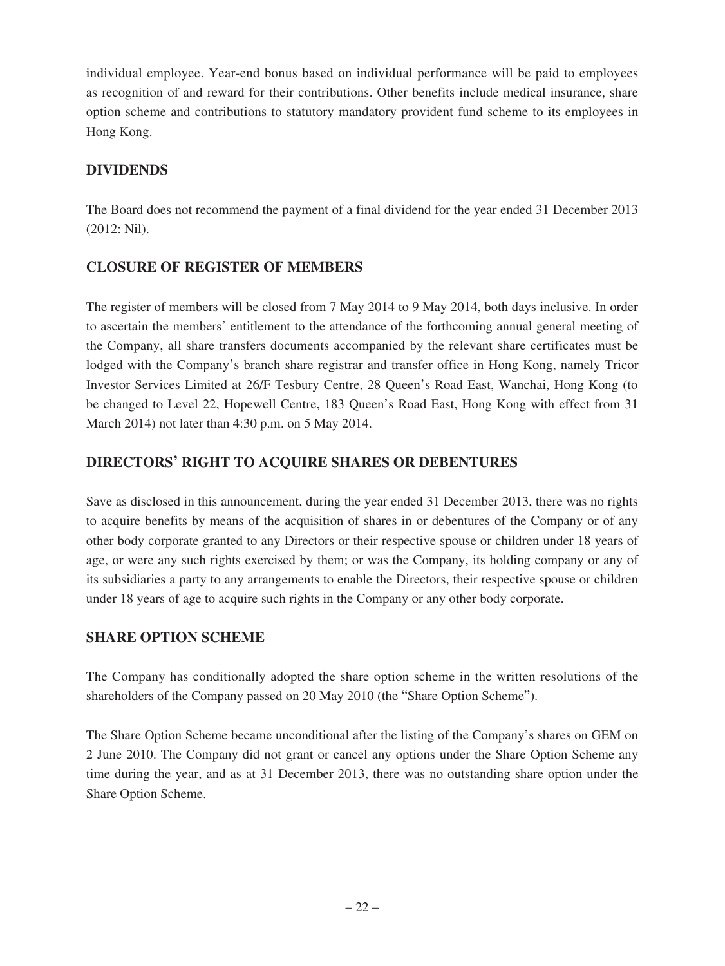individual employee. Year-end bonus based on individual performance will be paid to employees as recognition of and reward for their contributions. Other benefits include medical insurance, share option scheme and contributions to statutory mandatory provident fund scheme to its employees in Hong Kong.

## **DIVIDENDS**

The Board does not recommend the payment of a final dividend for the year ended 31 December 2013 (2012: Nil).

## **CLOSURE OF REGISTER OF MEMBERS**

The register of members will be closed from 7 May 2014 to 9 May 2014, both days inclusive. In order to ascertain the members' entitlement to the attendance of the forthcoming annual general meeting of the Company, all share transfers documents accompanied by the relevant share certificates must be lodged with the Company's branch share registrar and transfer office in Hong Kong, namely Tricor Investor Services Limited at 26/F Tesbury Centre, 28 Queen's Road East, Wanchai, Hong Kong (to be changed to Level 22, Hopewell Centre, 183 Queen's Road East, Hong Kong with effect from 31 March 2014) not later than 4:30 p.m. on 5 May 2014.

## **DIRECTORS' RIGHT TO ACQUIRE SHARES OR DEBENTURES**

Save as disclosed in this announcement, during the year ended 31 December 2013, there was no rights to acquire benefits by means of the acquisition of shares in or debentures of the Company or of any other body corporate granted to any Directors or their respective spouse or children under 18 years of age, or were any such rights exercised by them; or was the Company, its holding company or any of its subsidiaries a party to any arrangements to enable the Directors, their respective spouse or children under 18 years of age to acquire such rights in the Company or any other body corporate.

## **SHARE OPTION SCHEME**

The Company has conditionally adopted the share option scheme in the written resolutions of the shareholders of the Company passed on 20 May 2010 (the "Share Option Scheme").

The Share Option Scheme became unconditional after the listing of the Company's shares on GEM on 2 June 2010. The Company did not grant or cancel any options under the Share Option Scheme any time during the year, and as at 31 December 2013, there was no outstanding share option under the Share Option Scheme.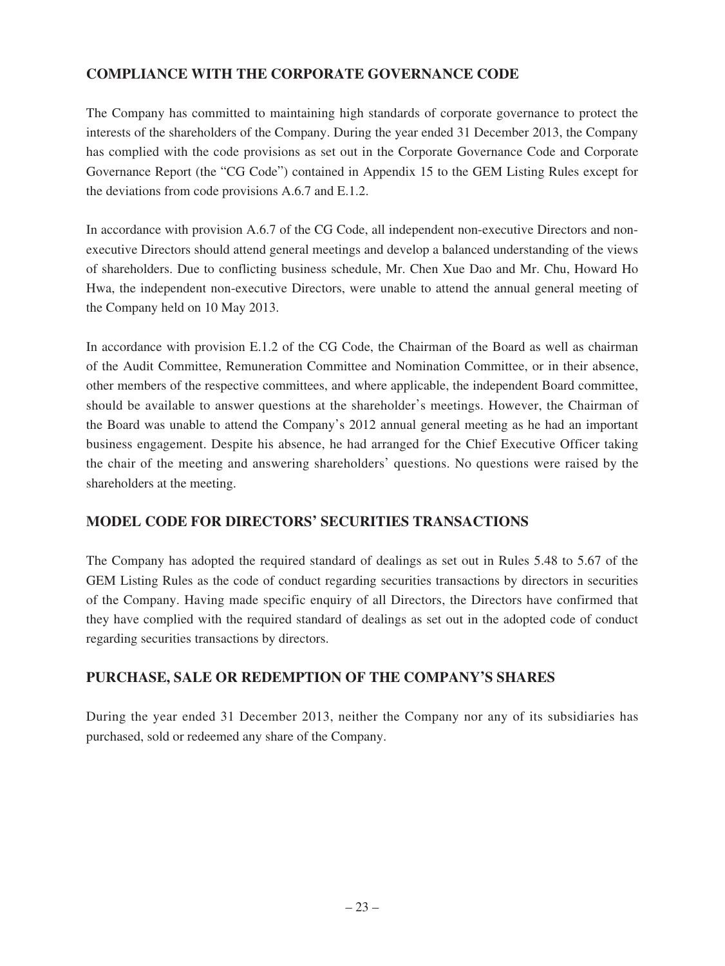## **COMPLIANCE WITH THE CORPORATE GOVERNANCE CODE**

The Company has committed to maintaining high standards of corporate governance to protect the interests of the shareholders of the Company. During the year ended 31 December 2013, the Company has complied with the code provisions as set out in the Corporate Governance Code and Corporate Governance Report (the "CG Code") contained in Appendix 15 to the GEM Listing Rules except for the deviations from code provisions A.6.7 and E.1.2.

In accordance with provision A.6.7 of the CG Code, all independent non-executive Directors and nonexecutive Directors should attend general meetings and develop a balanced understanding of the views of shareholders. Due to conflicting business schedule, Mr. Chen Xue Dao and Mr. Chu, Howard Ho Hwa, the independent non-executive Directors, were unable to attend the annual general meeting of the Company held on 10 May 2013.

In accordance with provision E.1.2 of the CG Code, the Chairman of the Board as well as chairman of the Audit Committee, Remuneration Committee and Nomination Committee, or in their absence, other members of the respective committees, and where applicable, the independent Board committee, should be available to answer questions at the shareholder's meetings. However, the Chairman of the Board was unable to attend the Company's 2012 annual general meeting as he had an important business engagement. Despite his absence, he had arranged for the Chief Executive Officer taking the chair of the meeting and answering shareholders' questions. No questions were raised by the shareholders at the meeting.

## **MODEL CODE FOR DIRECTORS' SECURITIES TRANSACTIONS**

The Company has adopted the required standard of dealings as set out in Rules 5.48 to 5.67 of the GEM Listing Rules as the code of conduct regarding securities transactions by directors in securities of the Company. Having made specific enquiry of all Directors, the Directors have confirmed that they have complied with the required standard of dealings as set out in the adopted code of conduct regarding securities transactions by directors.

## **PURCHASE, SALE OR REDEMPTION OF THE COMPANY'S SHARES**

During the year ended 31 December 2013, neither the Company nor any of its subsidiaries has purchased, sold or redeemed any share of the Company.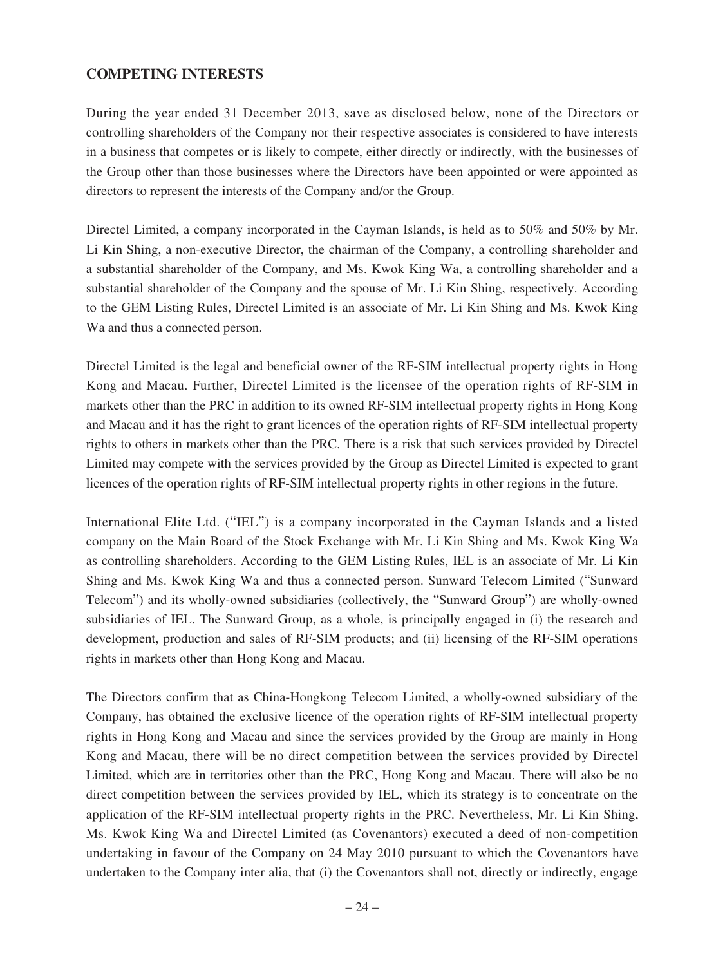## **COMPETING INTERESTS**

During the year ended 31 December 2013, save as disclosed below, none of the Directors or controlling shareholders of the Company nor their respective associates is considered to have interests in a business that competes or is likely to compete, either directly or indirectly, with the businesses of the Group other than those businesses where the Directors have been appointed or were appointed as directors to represent the interests of the Company and/or the Group.

Directel Limited, a company incorporated in the Cayman Islands, is held as to 50% and 50% by Mr. Li Kin Shing, a non-executive Director, the chairman of the Company, a controlling shareholder and a substantial shareholder of the Company, and Ms. Kwok King Wa, a controlling shareholder and a substantial shareholder of the Company and the spouse of Mr. Li Kin Shing, respectively. According to the GEM Listing Rules, Directel Limited is an associate of Mr. Li Kin Shing and Ms. Kwok King Wa and thus a connected person.

Directel Limited is the legal and beneficial owner of the RF-SIM intellectual property rights in Hong Kong and Macau. Further, Directel Limited is the licensee of the operation rights of RF-SIM in markets other than the PRC in addition to its owned RF-SIM intellectual property rights in Hong Kong and Macau and it has the right to grant licences of the operation rights of RF-SIM intellectual property rights to others in markets other than the PRC. There is a risk that such services provided by Directel Limited may compete with the services provided by the Group as Directel Limited is expected to grant licences of the operation rights of RF-SIM intellectual property rights in other regions in the future.

International Elite Ltd. ("IEL") is a company incorporated in the Cayman Islands and a listed company on the Main Board of the Stock Exchange with Mr. Li Kin Shing and Ms. Kwok King Wa as controlling shareholders. According to the GEM Listing Rules, IEL is an associate of Mr. Li Kin Shing and Ms. Kwok King Wa and thus a connected person. Sunward Telecom Limited ("Sunward Telecom") and its wholly-owned subsidiaries (collectively, the "Sunward Group") are wholly-owned subsidiaries of IEL. The Sunward Group, as a whole, is principally engaged in (i) the research and development, production and sales of RF-SIM products; and (ii) licensing of the RF-SIM operations rights in markets other than Hong Kong and Macau.

The Directors confirm that as China-Hongkong Telecom Limited, a wholly-owned subsidiary of the Company, has obtained the exclusive licence of the operation rights of RF-SIM intellectual property rights in Hong Kong and Macau and since the services provided by the Group are mainly in Hong Kong and Macau, there will be no direct competition between the services provided by Directel Limited, which are in territories other than the PRC, Hong Kong and Macau. There will also be no direct competition between the services provided by IEL, which its strategy is to concentrate on the application of the RF-SIM intellectual property rights in the PRC. Nevertheless, Mr. Li Kin Shing, Ms. Kwok King Wa and Directel Limited (as Covenantors) executed a deed of non-competition undertaking in favour of the Company on 24 May 2010 pursuant to which the Covenantors have undertaken to the Company inter alia, that (i) the Covenantors shall not, directly or indirectly, engage